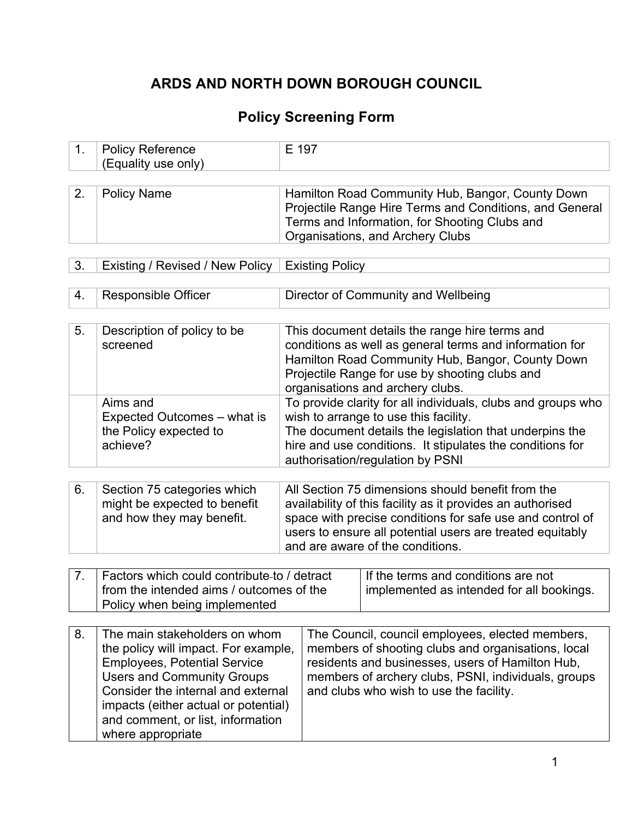# **ARDS AND NORTH DOWN BOROUGH COUNCIL**

## **Policy Screening Form**

| <b>Policy Reference</b><br>(Equality use only) | E 197                                                                                                       |
|------------------------------------------------|-------------------------------------------------------------------------------------------------------------|
| <sup>⊥</sup> Policy Name                       | Hamilton Road Community Hub, Bangor, County Down<br>Projectile Range Hire Terms and Conditions, and General |

Terms and Information, for Shooting Clubs and

Organisations, and Archery Clubs

| 3. | Existing / Revised / New Policy   Existing Policy |  |
|----|---------------------------------------------------|--|

4. Responsible Officer Director of Community and Wellbeing

| 5.             | Description of policy to be<br>screened                                                  | This document details the range hire terms and<br>conditions as well as general terms and information for<br>Hamilton Road Community Hub, Bangor, County Down<br>Projectile Range for use by shooting clubs and<br>organisations and archery clubs.                           |
|----------------|------------------------------------------------------------------------------------------|-------------------------------------------------------------------------------------------------------------------------------------------------------------------------------------------------------------------------------------------------------------------------------|
|                | Aims and<br>Expected Outcomes – what is<br>the Policy expected to<br>achieve?            | To provide clarity for all individuals, clubs and groups who<br>wish to arrange to use this facility.<br>The document details the legislation that underpins the<br>hire and use conditions. It stipulates the conditions for<br>authorisation/regulation by PSNI             |
| 6.             | Section 75 categories which<br>might be expected to benefit<br>and how they may benefit. | All Section 75 dimensions should benefit from the<br>availability of this facility as it provides an authorised<br>space with precise conditions for safe use and control of<br>users to ensure all potential users are treated equitably<br>and are aware of the conditions. |
| $\overline{7}$ | Enators which could contribute to I detreat                                              | If the terme and conditions are not                                                                                                                                                                                                                                           |

| from the intended aims / outcomes of the | Factors which could contribute-to / detract | If the terms and conditions are not       |
|------------------------------------------|---------------------------------------------|-------------------------------------------|
|                                          | Policy when being implemented               | implemented as intended for all bookings. |

| 8. | The main stakeholders on whom        | The Council, council employees, elected members,    |
|----|--------------------------------------|-----------------------------------------------------|
|    | the policy will impact. For example, | members of shooting clubs and organisations, local  |
|    | <b>Employees, Potential Service</b>  | residents and businesses, users of Hamilton Hub,    |
|    | <b>Users and Community Groups</b>    | members of archery clubs, PSNI, individuals, groups |
|    | Consider the internal and external   | and clubs who wish to use the facility.             |
|    | impacts (either actual or potential) |                                                     |
|    | and comment, or list, information    |                                                     |
|    | where appropriate                    |                                                     |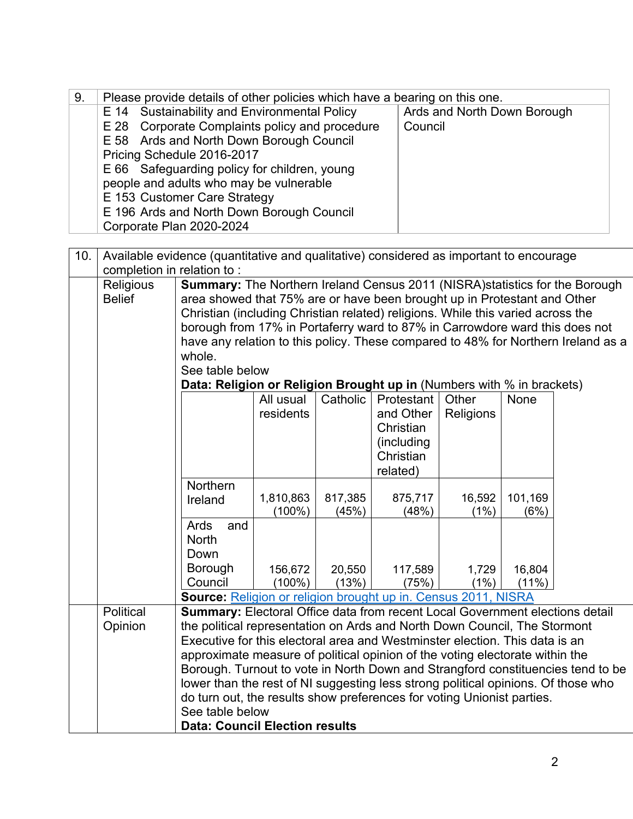| 9.  |                            |                                                                                        | Please provide details of other policies which have a bearing on this one. |         |                  |                             |          |                                                                                   |  |  |
|-----|----------------------------|----------------------------------------------------------------------------------------|----------------------------------------------------------------------------|---------|------------------|-----------------------------|----------|-----------------------------------------------------------------------------------|--|--|
|     |                            | E 14 Sustainability and Environmental Policy                                           |                                                                            |         |                  | Ards and North Down Borough |          |                                                                                   |  |  |
|     |                            | E 28 Corporate Complaints policy and procedure                                         |                                                                            |         |                  | Council                     |          |                                                                                   |  |  |
|     |                            | E 58 Ards and North Down Borough Council                                               |                                                                            |         |                  |                             |          |                                                                                   |  |  |
|     |                            | Pricing Schedule 2016-2017                                                             |                                                                            |         |                  |                             |          |                                                                                   |  |  |
|     |                            | E 66 Safeguarding policy for children, young                                           |                                                                            |         |                  |                             |          |                                                                                   |  |  |
|     |                            | people and adults who may be vulnerable                                                |                                                                            |         |                  |                             |          |                                                                                   |  |  |
|     |                            | E 153 Customer Care Strategy                                                           |                                                                            |         |                  |                             |          |                                                                                   |  |  |
|     |                            | E 196 Ards and North Down Borough Council                                              |                                                                            |         |                  |                             |          |                                                                                   |  |  |
|     |                            | Corporate Plan 2020-2024                                                               |                                                                            |         |                  |                             |          |                                                                                   |  |  |
|     |                            |                                                                                        |                                                                            |         |                  |                             |          |                                                                                   |  |  |
| 10. |                            | Available evidence (quantitative and qualitative) considered as important to encourage |                                                                            |         |                  |                             |          |                                                                                   |  |  |
|     | completion in relation to: |                                                                                        |                                                                            |         |                  |                             |          |                                                                                   |  |  |
|     | Religious                  | <b>Summary:</b> The Northern Ireland Census 2011 (NISRA) statistics for the Borough    |                                                                            |         |                  |                             |          |                                                                                   |  |  |
|     | <b>Belief</b>              | area showed that 75% are or have been brought up in Protestant and Other               |                                                                            |         |                  |                             |          |                                                                                   |  |  |
|     |                            | Christian (including Christian related) religions. While this varied across the        |                                                                            |         |                  |                             |          |                                                                                   |  |  |
|     |                            | borough from 17% in Portaferry ward to 87% in Carrowdore ward this does not            |                                                                            |         |                  |                             |          |                                                                                   |  |  |
|     |                            |                                                                                        |                                                                            |         |                  |                             |          | have any relation to this policy. These compared to 48% for Northern Ireland as a |  |  |
|     |                            | whole.                                                                                 |                                                                            |         |                  |                             |          |                                                                                   |  |  |
|     |                            | See table below                                                                        |                                                                            |         |                  |                             |          |                                                                                   |  |  |
|     |                            |                                                                                        | Data: Religion or Religion Brought up in (Numbers with % in brackets)      |         |                  |                             |          |                                                                                   |  |  |
|     |                            | Other<br>Catholic<br>Protestant<br>All usual<br>None                                   |                                                                            |         |                  |                             |          |                                                                                   |  |  |
|     |                            |                                                                                        | residents<br>and Other<br>Religions                                        |         |                  |                             |          |                                                                                   |  |  |
|     |                            |                                                                                        |                                                                            |         | Christian        |                             |          |                                                                                   |  |  |
|     |                            |                                                                                        |                                                                            |         | (including)      |                             |          |                                                                                   |  |  |
|     |                            |                                                                                        |                                                                            |         | Christian        |                             |          |                                                                                   |  |  |
|     |                            |                                                                                        |                                                                            |         | related)         |                             |          |                                                                                   |  |  |
|     |                            | Northern                                                                               | 1,810,863                                                                  | 817,385 |                  | 16,592                      | 101,169  |                                                                                   |  |  |
|     |                            | Ireland                                                                                | $(100\%)$                                                                  | (45%)   | 875,717<br>(48%) | (1%)                        | (6%)     |                                                                                   |  |  |
|     |                            | Ards<br>and                                                                            |                                                                            |         |                  |                             |          |                                                                                   |  |  |
|     |                            | <b>North</b>                                                                           |                                                                            |         |                  |                             |          |                                                                                   |  |  |
|     |                            | Down                                                                                   |                                                                            |         |                  |                             |          |                                                                                   |  |  |
|     |                            | Borough                                                                                | 156,672                                                                    | 20,550  | 117,589          | 1,729                       | 16,804   |                                                                                   |  |  |
|     |                            | Council                                                                                | $(100\%)$                                                                  | (13%)   | (75%)            | (1%)                        | $(11\%)$ |                                                                                   |  |  |
|     |                            | Source: Religion or religion brought up in. Census 2011, NISRA                         |                                                                            |         |                  |                             |          |                                                                                   |  |  |
|     | Political                  | <b>Summary:</b> Electoral Office data from recent Local Government elections detail    |                                                                            |         |                  |                             |          |                                                                                   |  |  |
|     | Opinion                    | the political representation on Ards and North Down Council, The Stormont              |                                                                            |         |                  |                             |          |                                                                                   |  |  |
|     |                            | Executive for this electoral area and Westminster election. This data is an            |                                                                            |         |                  |                             |          |                                                                                   |  |  |
|     |                            | approximate measure of political opinion of the voting electorate within the           |                                                                            |         |                  |                             |          |                                                                                   |  |  |
|     |                            |                                                                                        |                                                                            |         |                  |                             |          | Borough. Turnout to vote in North Down and Strangford constituencies tend to be   |  |  |
|     |                            | lower than the rest of NI suggesting less strong political opinions. Of those who      |                                                                            |         |                  |                             |          |                                                                                   |  |  |
|     |                            | do turn out, the results show preferences for voting Unionist parties.                 |                                                                            |         |                  |                             |          |                                                                                   |  |  |
|     |                            | See table below                                                                        |                                                                            |         |                  |                             |          |                                                                                   |  |  |
|     |                            | <b>Data: Council Election results</b>                                                  |                                                                            |         |                  |                             |          |                                                                                   |  |  |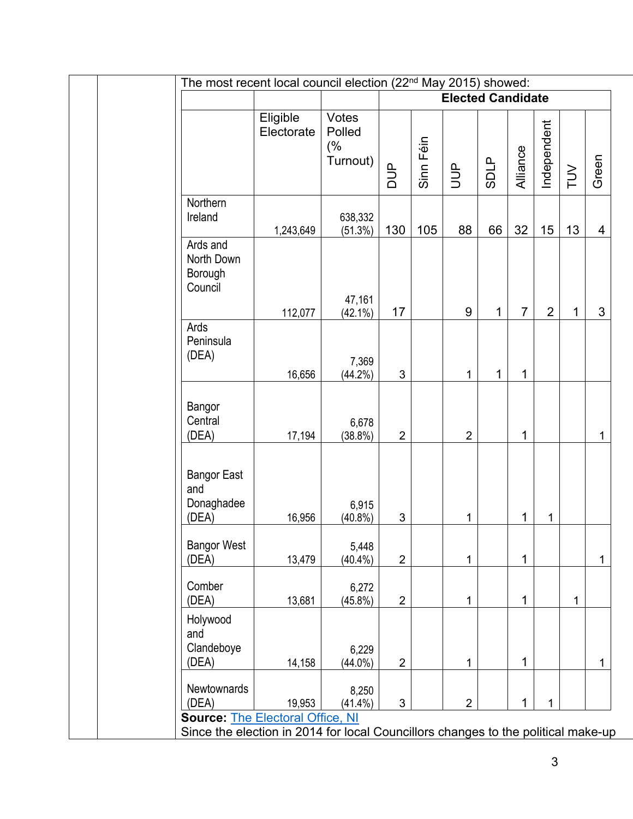| The most recent local council election (22 <sup>nd</sup> May 2015) showed:                                                   |                        |                                   |                |           |                          |              |                |                |              |       |
|------------------------------------------------------------------------------------------------------------------------------|------------------------|-----------------------------------|----------------|-----------|--------------------------|--------------|----------------|----------------|--------------|-------|
|                                                                                                                              |                        |                                   |                |           | <b>Elected Candidate</b> |              |                |                |              |       |
|                                                                                                                              | Eligible<br>Electorate | Votes<br>Polled<br>(%<br>Turnout) | $\frac{1}{2}$  | Sinn Féin | $\exists$                | <b>SDLP</b>  | Alliance       | Independent    | TUV          | Green |
| Northern<br>Ireland                                                                                                          | 1,243,649              | 638,332<br>(51.3%)                | 130            | 105       | 88                       | 66           | 32             | 15             | 13           | 4     |
| Ards and<br>North Down<br>Borough<br>Council                                                                                 | 112,077                | 47,161<br>$(42.1\%)$              | 17             |           | $9\,$                    | $\mathbf{1}$ | $\overline{7}$ | $\overline{2}$ | 1            | 3     |
| Ards<br>Peninsula<br>(DEA)                                                                                                   | 16,656                 | 7,369<br>$(44.2\%)$               | 3              |           | 1                        | 1            | 1              |                |              |       |
| Bangor<br>Central<br>(DEA)                                                                                                   | 17,194                 | 6,678<br>$(38.8\%)$               | $\overline{2}$ |           | $\overline{2}$           |              | 1              |                |              | 1     |
| <b>Bangor East</b><br>and<br>Donaghadee<br>(DEA)                                                                             | 16,956                 | 6,915<br>$(40.8\%)$               | 3              |           | 1                        |              | 1              | 1              |              |       |
| <b>Bangor West</b><br>(DEA)                                                                                                  | 13,479                 | 5,448<br>$(40.4\%)$               | $\overline{2}$ |           | 1                        |              | 1              |                |              | 1     |
| Comber<br>(DEA)                                                                                                              | 13,681                 | 6,272<br>$(45.8\%)$               | $\overline{2}$ |           | 1                        |              | 1              |                | $\mathbf{1}$ |       |
| Holywood<br>and<br>Clandeboye<br>(DEA)                                                                                       | 14,158                 | 6,229<br>$(44.0\%)$               | $\overline{2}$ |           | 1                        |              | 1              |                |              | 1     |
| Newtownards<br>(DEA)                                                                                                         | 19,953                 | 8,250<br>$(41.4\%)$               | 3              |           | $\overline{2}$           |              | 1              | $\mathbf{1}$   |              |       |
| <b>Source: The Electoral Office, NI</b><br>Since the election in 2014 for local Councillors changes to the political make-up |                        |                                   |                |           |                          |              |                |                |              |       |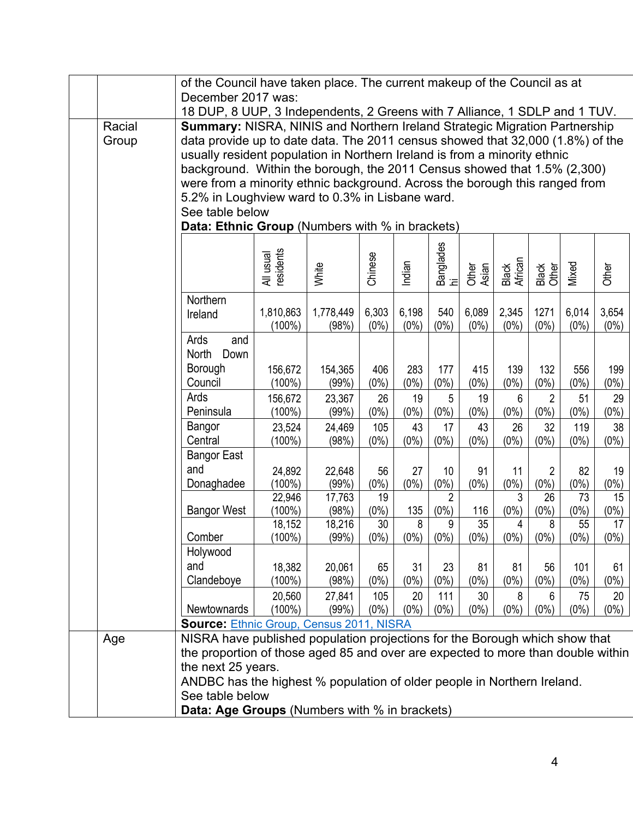|        | of the Council have taken place. The current makeup of the Council as at                                                                                    |                        |                 |                 |               |                 |                 |                  |                           |                |                 |
|--------|-------------------------------------------------------------------------------------------------------------------------------------------------------------|------------------------|-----------------|-----------------|---------------|-----------------|-----------------|------------------|---------------------------|----------------|-----------------|
|        | December 2017 was:                                                                                                                                          |                        |                 |                 |               |                 |                 |                  |                           |                |                 |
|        | 18 DUP, 8 UUP, 3 Independents, 2 Greens with 7 Alliance, 1 SDLP and 1 TUV.                                                                                  |                        |                 |                 |               |                 |                 |                  |                           |                |                 |
| Racial | Summary: NISRA, NINIS and Northern Ireland Strategic Migration Partnership                                                                                  |                        |                 |                 |               |                 |                 |                  |                           |                |                 |
| Group  | data provide up to date data. The 2011 census showed that 32,000 (1.8%) of the<br>usually resident population in Northern Ireland is from a minority ethnic |                        |                 |                 |               |                 |                 |                  |                           |                |                 |
|        |                                                                                                                                                             |                        |                 |                 |               |                 |                 |                  |                           |                |                 |
|        | background. Within the borough, the 2011 Census showed that 1.5% (2,300)                                                                                    |                        |                 |                 |               |                 |                 |                  |                           |                |                 |
|        | were from a minority ethnic background. Across the borough this ranged from<br>5.2% in Loughview ward to 0.3% in Lisbane ward.                              |                        |                 |                 |               |                 |                 |                  |                           |                |                 |
|        | See table below                                                                                                                                             |                        |                 |                 |               |                 |                 |                  |                           |                |                 |
|        | Data: Ethnic Group (Numbers with % in brackets)                                                                                                             |                        |                 |                 |               |                 |                 |                  |                           |                |                 |
|        |                                                                                                                                                             |                        |                 |                 |               |                 |                 |                  |                           |                |                 |
|        |                                                                                                                                                             |                        |                 |                 |               | Banglades<br>hi |                 |                  |                           |                |                 |
|        |                                                                                                                                                             | All usual<br>residents | White           | Chinese         | Indian        |                 | Other<br>Asian  | Black<br>African | Black<br>Other            | Mixed          | Other           |
|        |                                                                                                                                                             |                        |                 |                 |               |                 |                 |                  |                           |                |                 |
|        | Northern                                                                                                                                                    |                        |                 |                 |               |                 |                 |                  |                           |                |                 |
|        | Ireland                                                                                                                                                     | 1,810,863              | 1,778,449       | 6,303           | 6,198         | 540             | 6,089           | 2,345            | 1271                      | 6,014          | 3,654           |
|        |                                                                                                                                                             | $(100\%)$              | (98%)           | $(0\%)$         | $(0\%)$       | $(0\%)$         | $(0\%)$         | $(0\%)$          | $(0\%)$                   | $(0\%)$        | $(0\%)$         |
|        | Ards<br>and                                                                                                                                                 |                        |                 |                 |               |                 |                 |                  |                           |                |                 |
|        | <b>North</b><br>Down                                                                                                                                        |                        |                 |                 |               |                 |                 |                  |                           |                |                 |
|        | Borough                                                                                                                                                     | 156,672                | 154,365         | 406             | 283           | 177             | 415             | 139              | 132                       | 556            | 199             |
|        | Council                                                                                                                                                     | $(100\%)$              | (99%)           | $(0\%)$         | $(0\%)$       | $(0\%)$         | $(0\%)$         | $(0\%)$          | $(0\%)$                   | $(0\%)$        | $(0\%)$         |
|        | Ards                                                                                                                                                        | 156,672                | 23,367          | 26              | 19            | 5               | 19              | 6                | $\overline{2}$            | 51             | 29              |
|        | Peninsula<br>$(0\%)$<br>$(0\%)$<br>$(100\%)$<br>(99%)<br>$(0\%)$<br>$(0\%)$<br>$(0\%)$<br>$(0\%)$<br>$(0\%)$<br>$(0\%)$                                     |                        |                 |                 |               |                 |                 |                  |                           |                |                 |
|        | Bangor<br>Central                                                                                                                                           | 23,524<br>$(100\%)$    | 24,469<br>(98%) | 105<br>$(0\%)$  | 43<br>$(0\%)$ | 17<br>$(0\%)$   | 43<br>$(0\%)$   | 26<br>$(0\%)$    | 32<br>$(0\%)$             | 119<br>$(0\%)$ | 38<br>$(0\%)$   |
|        | <b>Bangor East</b>                                                                                                                                          |                        |                 |                 |               |                 |                 |                  |                           |                |                 |
|        | and                                                                                                                                                         |                        |                 |                 | 27            |                 |                 |                  |                           |                |                 |
|        | Donaghadee                                                                                                                                                  | 24,892<br>$(100\%)$    | 22,648<br>(99%) | 56<br>$(0\%)$   | $(0\%)$       | 10<br>$(0\%)$   | 91<br>$(0\%)$   | 11<br>$(0\%)$    | $\overline{2}$<br>$(0\%)$ | 82<br>$(0\%)$  | 19<br>$(0\%)$   |
|        |                                                                                                                                                             | 22,946                 | 17,763          | 19              |               | $\overline{2}$  |                 | 3                | 26                        | 73             | 15              |
|        | <b>Bangor West</b>                                                                                                                                          | $(100\%)$              | (98%)           | $(0\%)$         | 135           | (0%)            | 116             | $(0\%)$          | $(0\%)$                   | $(0\%)$        | $(0\%)$         |
|        |                                                                                                                                                             | 18,152                 | 18,216          | $\overline{30}$ | 8             | 9               | $\overline{35}$ | 4                | 8                         | 55             | $\overline{17}$ |
|        | Comber                                                                                                                                                      | (100%)                 | (99%)           | $(0\%)$         | $(0\%)$       | $(0\%)$         | $(0\%)$         | $(0\%)$          | $(0\%)$                   | $(0\%)$        | $(0\%)$         |
|        | Holywood                                                                                                                                                    |                        |                 |                 |               |                 |                 |                  |                           |                |                 |
|        | and                                                                                                                                                         | 18,382                 | 20,061          | 65              | 31            | 23              | 81              | 81               | 56                        | 101            | 61              |
|        | Clandeboye                                                                                                                                                  | (100%)                 | (98%)           | $(0\%)$         | $(0\%)$       | $(0\%)$         | $(0\%)$         | $(0\%)$          | $(0\%)$                   | $(0\%)$        | $(0\%)$         |
|        |                                                                                                                                                             | 20,560                 | 27,841          | 105             | 20            | 111             | 30              | 8                | 6                         | 75             | 20              |
|        | Newtownards                                                                                                                                                 | $(100\%)$              | (99%)           | $(0\%)$         | $(0\%)$       | $(0\%)$         | $(0\%)$         | $(0\%)$          | $(0\%)$                   | $(0\%)$        | $(0\%)$         |
|        | <b>Source: Ethnic Group, Census 2011, NISRA</b>                                                                                                             |                        |                 |                 |               |                 |                 |                  |                           |                |                 |
| Age    | NISRA have published population projections for the Borough which show that                                                                                 |                        |                 |                 |               |                 |                 |                  |                           |                |                 |
|        | the proportion of those aged 85 and over are expected to more than double within<br>the next 25 years.                                                      |                        |                 |                 |               |                 |                 |                  |                           |                |                 |
|        | ANDBC has the highest % population of older people in Northern Ireland.                                                                                     |                        |                 |                 |               |                 |                 |                  |                           |                |                 |
|        | See table below                                                                                                                                             |                        |                 |                 |               |                 |                 |                  |                           |                |                 |
|        | <b>Data: Age Groups (Numbers with % in brackets)</b>                                                                                                        |                        |                 |                 |               |                 |                 |                  |                           |                |                 |
|        |                                                                                                                                                             |                        |                 |                 |               |                 |                 |                  |                           |                |                 |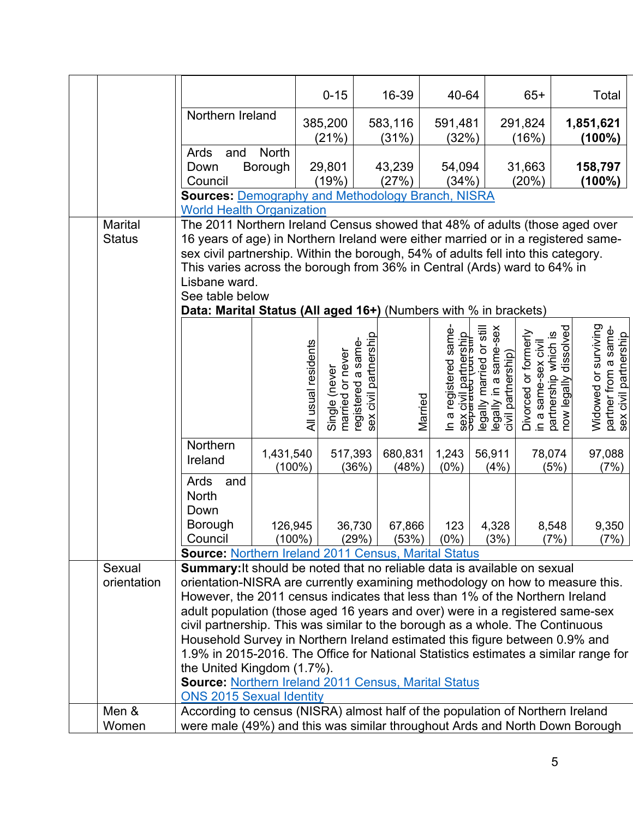|                          |                                                                                                                                                                                                                                                                                                                                                                                                                                                                                                                                                                                                                                                                                                                   |                                                                                                                                                                                                                                                                                                                                   | $0 - 15$                                                | 16-39                    | 40-64                                                                                        |                                                                         | $65+$                                       | Total                                                                                                                                       |
|--------------------------|-------------------------------------------------------------------------------------------------------------------------------------------------------------------------------------------------------------------------------------------------------------------------------------------------------------------------------------------------------------------------------------------------------------------------------------------------------------------------------------------------------------------------------------------------------------------------------------------------------------------------------------------------------------------------------------------------------------------|-----------------------------------------------------------------------------------------------------------------------------------------------------------------------------------------------------------------------------------------------------------------------------------------------------------------------------------|---------------------------------------------------------|--------------------------|----------------------------------------------------------------------------------------------|-------------------------------------------------------------------------|---------------------------------------------|---------------------------------------------------------------------------------------------------------------------------------------------|
|                          | Northern Ireland                                                                                                                                                                                                                                                                                                                                                                                                                                                                                                                                                                                                                                                                                                  |                                                                                                                                                                                                                                                                                                                                   | 385,200                                                 | 583,116                  | 591,481                                                                                      |                                                                         | 291,824                                     | 1,851,621                                                                                                                                   |
|                          |                                                                                                                                                                                                                                                                                                                                                                                                                                                                                                                                                                                                                                                                                                                   |                                                                                                                                                                                                                                                                                                                                   | (21%)                                                   | (31%)                    | (32%)                                                                                        |                                                                         | (16%)                                       | $(100\%)$                                                                                                                                   |
|                          | Ards<br>and                                                                                                                                                                                                                                                                                                                                                                                                                                                                                                                                                                                                                                                                                                       | <b>North</b>                                                                                                                                                                                                                                                                                                                      |                                                         |                          |                                                                                              |                                                                         |                                             |                                                                                                                                             |
|                          | Borough<br>Down                                                                                                                                                                                                                                                                                                                                                                                                                                                                                                                                                                                                                                                                                                   |                                                                                                                                                                                                                                                                                                                                   | 29,801                                                  | 43,239                   | 54,094                                                                                       |                                                                         | 31,663                                      | 158,797                                                                                                                                     |
|                          | Council                                                                                                                                                                                                                                                                                                                                                                                                                                                                                                                                                                                                                                                                                                           |                                                                                                                                                                                                                                                                                                                                   | (19%)                                                   | (27%)                    | (34%)                                                                                        |                                                                         | (20%)                                       | $(100\%)$                                                                                                                                   |
|                          | <b>Sources: Demography and Methodology Branch, NISRA</b>                                                                                                                                                                                                                                                                                                                                                                                                                                                                                                                                                                                                                                                          |                                                                                                                                                                                                                                                                                                                                   |                                                         |                          |                                                                                              |                                                                         |                                             |                                                                                                                                             |
|                          | <b>World Health Organization</b>                                                                                                                                                                                                                                                                                                                                                                                                                                                                                                                                                                                                                                                                                  |                                                                                                                                                                                                                                                                                                                                   |                                                         |                          |                                                                                              |                                                                         |                                             |                                                                                                                                             |
| Marital<br><b>Status</b> | Lisbane ward.<br>See table below                                                                                                                                                                                                                                                                                                                                                                                                                                                                                                                                                                                                                                                                                  | The 2011 Northern Ireland Census showed that 48% of adults (those aged over<br>16 years of age) in Northern Ireland were either married or in a registered same-<br>sex civil partnership. Within the borough, 54% of adults fell into this category.<br>This varies across the borough from 36% in Central (Ards) ward to 64% in |                                                         |                          |                                                                                              |                                                                         |                                             |                                                                                                                                             |
|                          | Data: Marital Status (All aged 16+) (Numbers with % in brackets)                                                                                                                                                                                                                                                                                                                                                                                                                                                                                                                                                                                                                                                  |                                                                                                                                                                                                                                                                                                                                   |                                                         |                          |                                                                                              |                                                                         |                                             |                                                                                                                                             |
|                          |                                                                                                                                                                                                                                                                                                                                                                                                                                                                                                                                                                                                                                                                                                                   | All usual residents                                                                                                                                                                                                                                                                                                               | registered a same-<br>married or never<br>Single (never | civil partnership<br>sex | In a registered same-<br>sex civil partnership<br>o <del>c</del> parated tour sun<br>Married | legally married or still<br>legally in a same-sex<br>civil partnership) | Divorced or formerly<br>in a same-sex civil | Widowed or surviving<br>partnership which is<br>now legally dissolved<br>partner from a same-<br>sex civil partnership<br>civil partnership |
|                          | Northern<br>Ireland                                                                                                                                                                                                                                                                                                                                                                                                                                                                                                                                                                                                                                                                                               | 1,431,540<br>$(100\%)$                                                                                                                                                                                                                                                                                                            | 517,393<br>(36%)                                        | 680,831<br>(48%)         | 1,243<br>(0%)                                                                                | 56,911<br>(4%)                                                          | 78,074<br>(5%)                              | 97,088<br>(7%)                                                                                                                              |
|                          | Ards<br>and<br><b>North</b><br>Down<br>Borough<br>Council                                                                                                                                                                                                                                                                                                                                                                                                                                                                                                                                                                                                                                                         | 126,945<br>$(100\%)$                                                                                                                                                                                                                                                                                                              | 36,730<br>(29%)                                         | 67,866<br>(53%)          | 123<br>$(0\%)$                                                                               | 4,328<br>(3%)                                                           | 8,548<br>(7%)                               | 9,350<br>(7%)                                                                                                                               |
|                          | <b>Source: Northern Ireland 2011 Census, Marital Status</b>                                                                                                                                                                                                                                                                                                                                                                                                                                                                                                                                                                                                                                                       |                                                                                                                                                                                                                                                                                                                                   |                                                         |                          |                                                                                              |                                                                         |                                             |                                                                                                                                             |
| Sexual<br>orientation    | Summary: It should be noted that no reliable data is available on sexual<br>orientation-NISRA are currently examining methodology on how to measure this.<br>However, the 2011 census indicates that less than 1% of the Northern Ireland<br>adult population (those aged 16 years and over) were in a registered same-sex<br>civil partnership. This was similar to the borough as a whole. The Continuous<br>Household Survey in Northern Ireland estimated this figure between 0.9% and<br>1.9% in 2015-2016. The Office for National Statistics estimates a similar range for<br>the United Kingdom (1.7%).<br><b>Source: Northern Ireland 2011 Census, Marital Status</b><br><b>ONS 2015 Sexual Identity</b> |                                                                                                                                                                                                                                                                                                                                   |                                                         |                          |                                                                                              |                                                                         |                                             |                                                                                                                                             |
| Men &                    | According to census (NISRA) almost half of the population of Northern Ireland                                                                                                                                                                                                                                                                                                                                                                                                                                                                                                                                                                                                                                     |                                                                                                                                                                                                                                                                                                                                   |                                                         |                          |                                                                                              |                                                                         |                                             |                                                                                                                                             |
| Women                    | were male (49%) and this was similar throughout Ards and North Down Borough                                                                                                                                                                                                                                                                                                                                                                                                                                                                                                                                                                                                                                       |                                                                                                                                                                                                                                                                                                                                   |                                                         |                          |                                                                                              |                                                                         |                                             |                                                                                                                                             |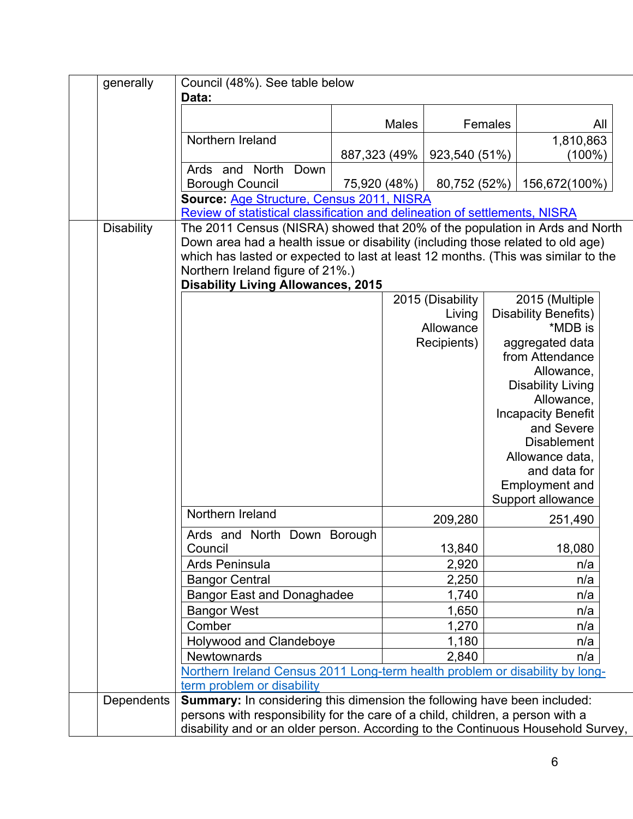| generally         | Council (48%). See table below<br>Data:                                                                                                                                                                                                                                                                                              |               |              |                            |         |                                                                                                                                                              |  |
|-------------------|--------------------------------------------------------------------------------------------------------------------------------------------------------------------------------------------------------------------------------------------------------------------------------------------------------------------------------------|---------------|--------------|----------------------------|---------|--------------------------------------------------------------------------------------------------------------------------------------------------------------|--|
|                   |                                                                                                                                                                                                                                                                                                                                      |               | <b>Males</b> |                            | Females | All                                                                                                                                                          |  |
|                   | Northern Ireland                                                                                                                                                                                                                                                                                                                     |               |              |                            |         | 1,810,863                                                                                                                                                    |  |
|                   | North<br>Down<br>Ards and                                                                                                                                                                                                                                                                                                            | 887,323 (49%) |              | 923,540 (51%)              |         | $(100\%)$                                                                                                                                                    |  |
|                   | <b>Borough Council</b>                                                                                                                                                                                                                                                                                                               | 75,920 (48%)  |              | 80,752 (52%)               |         | 156,672(100%)                                                                                                                                                |  |
|                   | Source: Age Structure, Census 2011, NISRA<br>Review of statistical classification and delineation of settlements, NISRA                                                                                                                                                                                                              |               |              |                            |         |                                                                                                                                                              |  |
| <b>Disability</b> | The 2011 Census (NISRA) showed that 20% of the population in Ards and North<br>Down area had a health issue or disability (including those related to old age)<br>which has lasted or expected to last at least 12 months. (This was similar to the<br>Northern Ireland figure of 21%.)<br><b>Disability Living Allowances, 2015</b> |               |              |                            |         |                                                                                                                                                              |  |
|                   |                                                                                                                                                                                                                                                                                                                                      |               |              | 2015 (Disability<br>Living |         | 2015 (Multiple<br><b>Disability Benefits)</b>                                                                                                                |  |
|                   |                                                                                                                                                                                                                                                                                                                                      |               |              | Allowance<br>Recipients)   |         | *MDB is<br>aggregated data<br>from Attendance<br>Allowance,<br><b>Disability Living</b>                                                                      |  |
|                   |                                                                                                                                                                                                                                                                                                                                      |               |              |                            |         | Allowance,<br><b>Incapacity Benefit</b><br>and Severe<br><b>Disablement</b><br>Allowance data,<br>and data for<br><b>Employment and</b><br>Support allowance |  |
|                   | Northern Ireland                                                                                                                                                                                                                                                                                                                     |               |              | 209,280                    |         | 251,490                                                                                                                                                      |  |
|                   | Ards and North Down Borough<br>Council                                                                                                                                                                                                                                                                                               |               |              | 13,840                     |         | 18,080                                                                                                                                                       |  |
|                   | Ards Peninsula                                                                                                                                                                                                                                                                                                                       |               |              | 2,920                      |         | n/a                                                                                                                                                          |  |
|                   | <b>Bangor Central</b>                                                                                                                                                                                                                                                                                                                |               |              | 2,250                      |         | n/a                                                                                                                                                          |  |
|                   | <b>Bangor East and Donaghadee</b>                                                                                                                                                                                                                                                                                                    |               |              | 1,740                      |         | n/a                                                                                                                                                          |  |
|                   | <b>Bangor West</b>                                                                                                                                                                                                                                                                                                                   |               |              | 1,650                      |         | n/a                                                                                                                                                          |  |
|                   | Comber                                                                                                                                                                                                                                                                                                                               |               |              | 1,270                      |         | n/a                                                                                                                                                          |  |
|                   | Holywood and Clandeboye                                                                                                                                                                                                                                                                                                              |               |              | 1,180                      |         | n/a                                                                                                                                                          |  |
|                   | Newtownards                                                                                                                                                                                                                                                                                                                          |               |              | 2,840                      |         | n/a                                                                                                                                                          |  |
|                   | Northern Ireland Census 2011 Long-term health problem or disability by long-<br>term problem or disability                                                                                                                                                                                                                           |               |              |                            |         |                                                                                                                                                              |  |
| Dependents        | Summary: In considering this dimension the following have been included:<br>persons with responsibility for the care of a child, children, a person with a<br>disability and or an older person. According to the Continuous Household Survey,                                                                                       |               |              |                            |         |                                                                                                                                                              |  |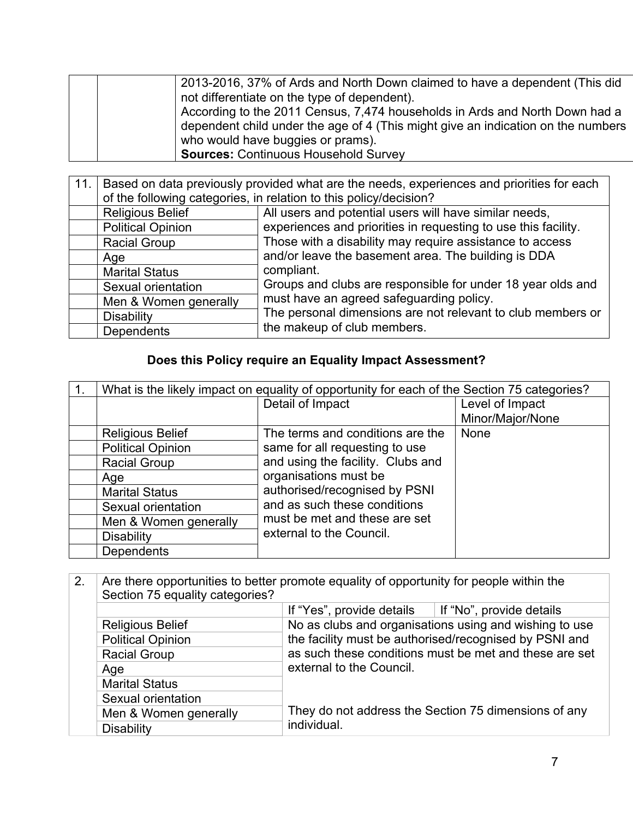|  | 2013-2016, 37% of Ards and North Down claimed to have a dependent (This did      |
|--|----------------------------------------------------------------------------------|
|  | not differentiate on the type of dependent).                                     |
|  | According to the 2011 Census, 7,474 households in Ards and North Down had a      |
|  | dependent child under the age of 4 (This might give an indication on the numbers |
|  | who would have buggies or prams).                                                |
|  | <b>Sources: Continuous Household Survey</b>                                      |

| 11.1 | Based on data previously provided what are the needs, experiences and priorities for each |                                                                |  |  |  |  |  |  |
|------|-------------------------------------------------------------------------------------------|----------------------------------------------------------------|--|--|--|--|--|--|
|      | of the following categories, in relation to this policy/decision?                         |                                                                |  |  |  |  |  |  |
|      | <b>Religious Belief</b>                                                                   | All users and potential users will have similar needs,         |  |  |  |  |  |  |
|      | <b>Political Opinion</b>                                                                  | experiences and priorities in requesting to use this facility. |  |  |  |  |  |  |
|      | <b>Racial Group</b>                                                                       | Those with a disability may require assistance to access       |  |  |  |  |  |  |
|      | Age                                                                                       | and/or leave the basement area. The building is DDA            |  |  |  |  |  |  |
|      | <b>Marital Status</b>                                                                     | compliant.                                                     |  |  |  |  |  |  |
|      | Sexual orientation                                                                        | Groups and clubs are responsible for under 18 year olds and    |  |  |  |  |  |  |
|      | Men & Women generally                                                                     | must have an agreed safeguarding policy.                       |  |  |  |  |  |  |
|      | <b>Disability</b>                                                                         | The personal dimensions are not relevant to club members or    |  |  |  |  |  |  |
|      | <b>Dependents</b>                                                                         | the makeup of club members.                                    |  |  |  |  |  |  |

# **Does this Policy require an Equality Impact Assessment?**

| What is the likely impact on equality of opportunity for each of the Section 75 categories? |                                                                                                                                                              |                  |
|---------------------------------------------------------------------------------------------|--------------------------------------------------------------------------------------------------------------------------------------------------------------|------------------|
|                                                                                             | Detail of Impact                                                                                                                                             | Level of Impact  |
|                                                                                             |                                                                                                                                                              | Minor/Major/None |
| <b>Religious Belief</b>                                                                     | The terms and conditions are the                                                                                                                             | None             |
| <b>Political Opinion</b>                                                                    | same for all requesting to use                                                                                                                               |                  |
| <b>Racial Group</b>                                                                         | and using the facility. Clubs and<br>organisations must be<br>authorised/recognised by PSNI<br>and as such these conditions<br>must be met and these are set |                  |
| Age                                                                                         |                                                                                                                                                              |                  |
| <b>Marital Status</b>                                                                       |                                                                                                                                                              |                  |
| Sexual orientation                                                                          |                                                                                                                                                              |                  |
| Men & Women generally                                                                       |                                                                                                                                                              |                  |
| <b>Disability</b>                                                                           | external to the Council.                                                                                                                                     |                  |
| Dependents                                                                                  |                                                                                                                                                              |                  |

| 2. | Are there opportunities to better promote equality of opportunity for people within the |                                                                                                                  |                                                      |  |
|----|-----------------------------------------------------------------------------------------|------------------------------------------------------------------------------------------------------------------|------------------------------------------------------|--|
|    | Section 75 equality categories?                                                         |                                                                                                                  |                                                      |  |
|    |                                                                                         | If "Yes", provide details $\parallel$ If "No", provide details                                                   |                                                      |  |
|    | <b>Religious Belief</b>                                                                 | No as clubs and organisations using and wishing to use<br>the facility must be authorised/recognised by PSNI and |                                                      |  |
|    | <b>Political Opinion</b>                                                                |                                                                                                                  |                                                      |  |
|    | <b>Racial Group</b>                                                                     | as such these conditions must be met and these are set                                                           |                                                      |  |
|    | Age                                                                                     | external to the Council.                                                                                         |                                                      |  |
|    | <b>Marital Status</b>                                                                   |                                                                                                                  |                                                      |  |
|    | Sexual orientation                                                                      |                                                                                                                  |                                                      |  |
|    | Men & Women generally                                                                   | individual.                                                                                                      | They do not address the Section 75 dimensions of any |  |
|    | <b>Disability</b>                                                                       |                                                                                                                  |                                                      |  |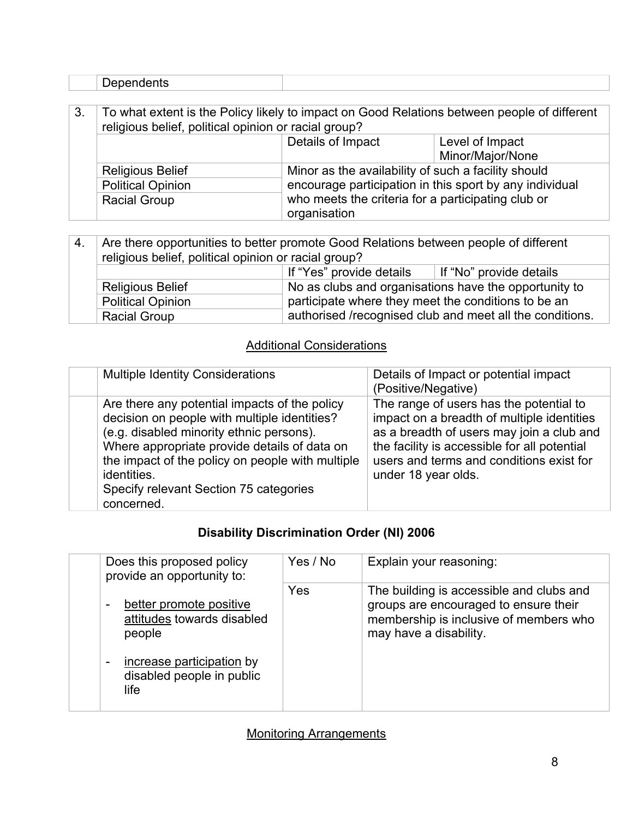#### 3. To what extent is the Policy likely to impact on Good Relations between people of different religious belief, political opinion or racial group? Details of Impact Level of Impact Minor/Major/None Religious Belief Minor as the availability of such a facility should encourage participation in this sport by any individual who meets the criteria for a participating club or organisation Political Opinion Racial Group

| 4. | Are there opportunities to better promote Good Relations between people of different<br>religious belief, political opinion or racial group? |                                                       |                                                          |
|----|----------------------------------------------------------------------------------------------------------------------------------------------|-------------------------------------------------------|----------------------------------------------------------|
|    |                                                                                                                                              | If "Yes" provide details                              | If "No" provide details                                  |
|    | <b>Religious Belief</b>                                                                                                                      | No as clubs and organisations have the opportunity to |                                                          |
|    | <b>Political Opinion</b>                                                                                                                     | participate where they meet the conditions to be an   |                                                          |
|    | <b>Racial Group</b>                                                                                                                          |                                                       | authorised /recognised club and meet all the conditions. |

### Additional Considerations

| <b>Multiple Identity Considerations</b>                                                                                                                                                                                                                                                                              | Details of Impact or potential impact<br>(Positive/Negative)                                                                                                                                                                                          |
|----------------------------------------------------------------------------------------------------------------------------------------------------------------------------------------------------------------------------------------------------------------------------------------------------------------------|-------------------------------------------------------------------------------------------------------------------------------------------------------------------------------------------------------------------------------------------------------|
| Are there any potential impacts of the policy<br>decision on people with multiple identities?<br>(e.g. disabled minority ethnic persons).<br>Where appropriate provide details of data on<br>the impact of the policy on people with multiple<br>identities.<br>Specify relevant Section 75 categories<br>concerned. | The range of users has the potential to<br>impact on a breadth of multiple identities<br>as a breadth of users may join a club and<br>the facility is accessible for all potential<br>users and terms and conditions exist for<br>under 18 year olds. |

### **Disability Discrimination Order (NI) 2006**

| Does this proposed policy<br>provide an opportunity to:                                    | Yes / No | Explain your reasoning:                                                                                                                               |
|--------------------------------------------------------------------------------------------|----------|-------------------------------------------------------------------------------------------------------------------------------------------------------|
| better promote positive<br>$\blacksquare$<br>attitudes towards disabled<br>people          | Yes      | The building is accessible and clubs and<br>groups are encouraged to ensure their<br>membership is inclusive of members who<br>may have a disability. |
| increase participation by<br>$\overline{\phantom{a}}$<br>disabled people in public<br>life |          |                                                                                                                                                       |

### Monitoring Arrangements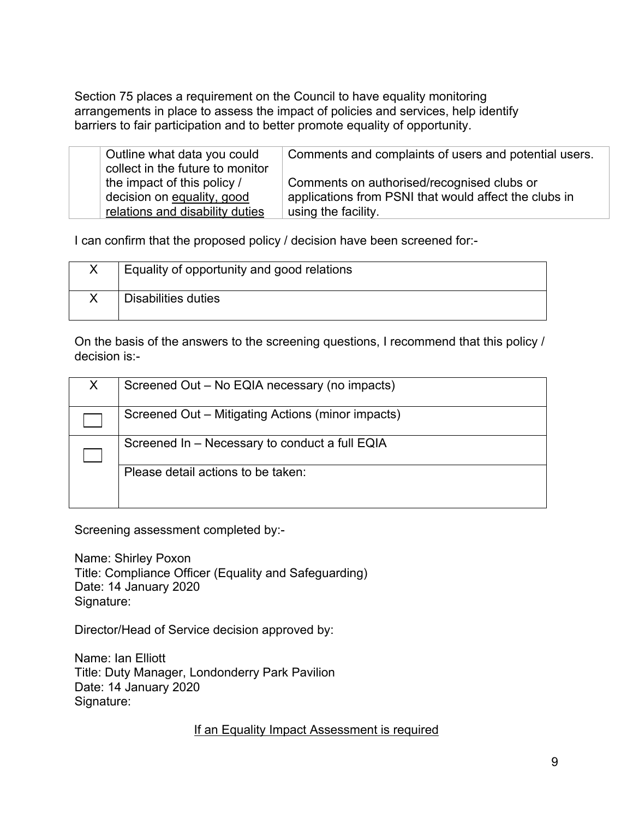Section 75 places a requirement on the Council to have equality monitoring arrangements in place to assess the impact of policies and services, help identify barriers to fair participation and to better promote equality of opportunity.

| Outline what data you could<br>collect in the future to monitor | Comments and complaints of users and potential users.                                               |
|-----------------------------------------------------------------|-----------------------------------------------------------------------------------------------------|
| the impact of this policy /<br>decision on equality, good       | Comments on authorised/recognised clubs or<br>applications from PSNI that would affect the clubs in |
| relations and disability duties                                 | using the facility.                                                                                 |

I can confirm that the proposed policy / decision have been screened for:-

| Equality of opportunity and good relations |
|--------------------------------------------|
| Disabilities duties                        |

On the basis of the answers to the screening questions, I recommend that this policy / decision is:-

| Screened Out - No EQIA necessary (no impacts)     |
|---------------------------------------------------|
| Screened Out – Mitigating Actions (minor impacts) |
| Screened In - Necessary to conduct a full EQIA    |
| Please detail actions to be taken:                |

Screening assessment completed by:-

Name: Shirley Poxon Title: Compliance Officer (Equality and Safeguarding) Date: 14 January 2020 Signature:

Director/Head of Service decision approved by:

Name: Ian Elliott Title: Duty Manager, Londonderry Park Pavilion Date: 14 January 2020 Signature:

If an Equality Impact Assessment is required